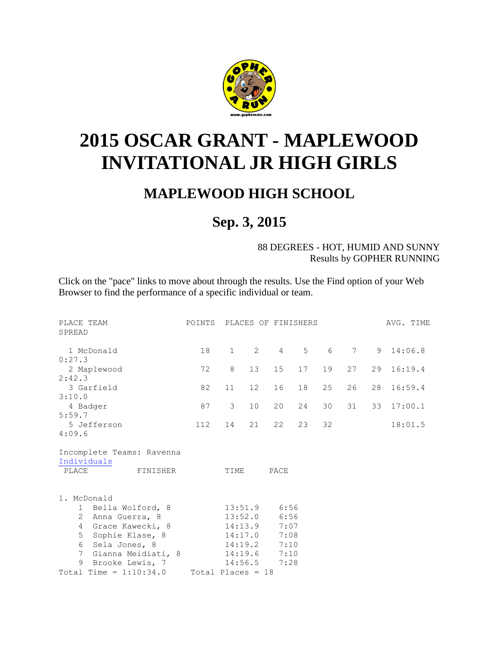

## **2015 OSCAR GRANT - MAPLEWOOD INVITATIONAL JR HIGH GIRLS**

## **MAPLEWOOD HIGH SCHOOL**

## **Sep. 3, 2015**

88 DEGREES - HOT, HUMID AND SUNNY Results by GOPHER RUNNING

Click on the "pace" links to move about through the results. Use the Find option of your Web Browser to find the performance of a specific individual or team.

| PLACE TEAM<br>SPREAD                                          | POINTS PLACES OF FINISHERS |                        |                    |              |    |    |    |    | AVG. TIME |
|---------------------------------------------------------------|----------------------------|------------------------|--------------------|--------------|----|----|----|----|-----------|
| 1 McDonald<br>0:27.3                                          | 18                         | $1 \quad \blacksquare$ | $\mathbf{2}$       | $4 \quad$    | 5  | 6  | 7  |    | 9 14:06.8 |
| 2 Maplewood                                                   | 72                         | 8                      | 13                 | 15           | 17 | 19 | 27 | 29 | 16:19.4   |
| 2:42.3<br>3 Garfield                                          | 82                         | 11                     | 12 <sup>°</sup>    | 16           | 18 | 25 | 26 | 28 | 16:59.4   |
| 3:10.0                                                        |                            |                        |                    |              |    |    |    |    |           |
| 4 Badger                                                      | 87                         | $\mathcal{E}$          | 10                 | 20           | 24 | 30 | 31 | 33 | 17:00.1   |
| 5:59.7<br>5 Jefferson                                         | 112                        | 14                     | 21                 | 22           | 23 | 32 |    |    | 18:01.5   |
| 4:09.6                                                        |                            |                        |                    |              |    |    |    |    |           |
| Incomplete Teams: Ravenna<br>Individuals<br>PLACE<br>FINISHER |                            | TIME                   |                    | PACE         |    |    |    |    |           |
| McDonald<br>$1$ .<br>1 Bella Wolford, 8                       |                            | 13:51.9                |                    | 6:56         |    |    |    |    |           |
| 2 Anna Guerra, 8                                              |                            |                        | 13:52.0            | 6:56         |    |    |    |    |           |
| Grace Kawecki, 8<br>4<br>5 <sup>5</sup><br>Sophie Klase, 8    |                            |                        | 14:13.9<br>14:17.0 | 7:07<br>7:08 |    |    |    |    |           |
| Sela Jones, 8<br>6                                            |                            |                        | 14:19.2            | 7:10         |    |    |    |    |           |
| Gianna Meidiati, 8<br>$7^{\circ}$                             |                            |                        | 14:19.6            | 7:10         |    |    |    |    |           |
| 9<br>Brooke Lewis, 7                                          |                            |                        | 14:56.5            | 7:28         |    |    |    |    |           |
| Total Time = $1:10:34.0$                                      | Total Places = 18          |                        |                    |              |    |    |    |    |           |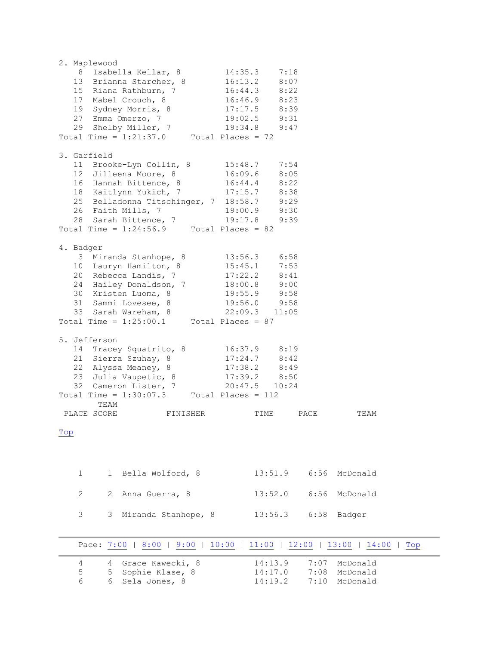<span id="page-1-1"></span><span id="page-1-0"></span>

|     |              | 2. Maplewood |                                                                           |                       |                                     |       |      |                                 |     |
|-----|--------------|--------------|---------------------------------------------------------------------------|-----------------------|-------------------------------------|-------|------|---------------------------------|-----|
|     |              |              | 8 Isabella Kellar, 8                                                      | 14:35.3               |                                     | 7:18  |      |                                 |     |
|     |              |              | 13 Brianna Starcher, 8                                                    |                       | 16:13.2                             | 8:07  |      |                                 |     |
|     |              |              | 15 Riana Rathburn, 7                                                      |                       | $16:44.3$ 8:22                      |       |      |                                 |     |
|     |              |              | 17 Mabel Crouch, 8                                                        |                       | $16:46.9$ $8:23$                    |       |      |                                 |     |
|     |              |              | 19 Sydney Morris, 8                                                       |                       | $17:17.5$ 8:39                      |       |      |                                 |     |
|     |              |              | 27 Emma Omerzo, 7                                                         |                       | 19:02.5 9:31                        |       |      |                                 |     |
|     |              |              | 29 Shelby Miller, 7 19:34.8<br>Total Time = $1:21:37.0$ Total Places = 72 |                       | 19:34.8 9:47                        |       |      |                                 |     |
|     |              |              |                                                                           |                       |                                     |       |      |                                 |     |
|     |              |              |                                                                           |                       |                                     |       |      |                                 |     |
|     | 3. Garfield  |              |                                                                           |                       |                                     |       |      |                                 |     |
|     |              |              | 11 Brooke-Lyn Collin, 8 15:48.7                                           |                       |                                     | 7:54  |      |                                 |     |
|     |              |              | 12 Jilleena Moore, 8                                                      |                       | $16:09.6$ 8:05                      |       |      |                                 |     |
|     |              |              | 16 Hannah Bittence, 8                                                     |                       | $16:44.4$ $8:22$                    |       |      |                                 |     |
|     |              |              | 18 Kaitlynn Yukich, 7                                                     |                       | $17:15.7$ 8:38                      |       |      |                                 |     |
|     |              |              | 25 Belladonna Titschinger, 7 18:58.7 9:29                                 |                       |                                     |       |      |                                 |     |
|     |              |              | 26 Faith Mills, 7<br>28 Sarah Bittence, 7                                 |                       | 19:00.9 9:30                        |       |      |                                 |     |
|     |              |              |                                                                           |                       | 19:17.8                             | 9:39  |      |                                 |     |
|     |              |              | Total Time = $1:24:56.9$ Total Places = 82                                |                       |                                     |       |      |                                 |     |
|     |              |              |                                                                           |                       |                                     |       |      |                                 |     |
|     | 4. Badger    |              |                                                                           |                       |                                     |       |      |                                 |     |
|     |              |              | 3 Miranda Stanhope, 8                                                     |                       | 13:56.3 6:58                        |       |      |                                 |     |
|     |              |              | 10 Lauryn Hamilton, 8                                                     |                       | $15:45.1$ 7:53                      |       |      |                                 |     |
|     |              |              | 20 Rebecca Landis, 7                                                      |                       | $17:22.2$ $8:41$                    |       |      |                                 |     |
|     |              |              | 24 Hailey Donaldson, 7                                                    |                       | 18:00.8 9:00                        |       |      |                                 |     |
|     |              |              | 30 Kristen Luoma, 8                                                       |                       | 19:55.9 9:58<br>19:56.0 9:58        |       |      |                                 |     |
|     |              |              | 31 Sammi Lovesee, 8<br>31 Sammi Lovesee, 8<br>33 Sarah Wareham, 8         |                       |                                     |       |      |                                 |     |
|     |              |              |                                                                           | 22:09.3               |                                     | 11:05 |      |                                 |     |
|     |              |              | Total Time = $1:25:00.1$ Total Places = 87                                |                       |                                     |       |      |                                 |     |
|     |              | 5. Jefferson |                                                                           |                       |                                     |       |      |                                 |     |
|     |              |              |                                                                           |                       |                                     |       |      |                                 |     |
|     |              |              | 14 Tracey Squatrito, 8                                                    |                       | 16:37.9 8:19                        |       |      |                                 |     |
|     |              |              | 21 Sierra Szuhay, 8<br>22 Alyssa Meaney, 8                                |                       | $17:24.7$ 8:42                      |       |      |                                 |     |
|     |              |              |                                                                           | 17:38.2               |                                     | 8:49  |      |                                 |     |
|     |              |              | 23 Julia Vaupetic, 8<br>32 Cameron Lister, 7                              |                       | $17:39.2$ $8:50$<br>$20:47.5$ 10:24 |       |      |                                 |     |
|     |              |              | Total Time = $1:30:07.3$ Total Places = 112                               |                       |                                     |       |      |                                 |     |
|     |              | TEAM         |                                                                           |                       |                                     |       |      |                                 |     |
|     |              | PLACE SCORE  | FINISHER                                                                  |                       | TIME                                |       | PACE | TEAM                            |     |
|     |              |              |                                                                           |                       |                                     |       |      |                                 |     |
| Top |              |              |                                                                           |                       |                                     |       |      |                                 |     |
|     |              |              |                                                                           |                       |                                     |       |      |                                 |     |
|     |              |              |                                                                           |                       |                                     |       |      |                                 |     |
|     |              |              |                                                                           |                       |                                     |       |      |                                 |     |
|     |              |              |                                                                           |                       |                                     |       |      |                                 |     |
|     | $\mathbf{1}$ | 1            | Bella Wolford, 8                                                          |                       | 13:51.9                             |       | 6:56 | McDonald                        |     |
|     |              |              |                                                                           |                       |                                     |       |      |                                 |     |
|     | $\mathbf{2}$ | 2            | Anna Guerra, 8                                                            |                       | 13:52.0                             |       | 6:56 | McDonald                        |     |
|     |              |              |                                                                           |                       |                                     |       |      |                                 |     |
|     | 3            | 3            | Miranda Stanhope, 8                                                       |                       | 13:56.3                             |       | 6:58 | Badger                          |     |
|     |              |              |                                                                           |                       |                                     |       |      |                                 |     |
|     |              |              |                                                                           |                       |                                     |       |      |                                 |     |
|     |              |              | Pace: 7:00   8:00   9:00                                                  | 10:00<br>$\mathbf{I}$ |                                     |       |      | $11:00$   12:00   13:00   14:00 | Top |
|     |              |              |                                                                           |                       |                                     |       |      |                                 |     |
|     | 4            | 4            | Grace Kawecki, 8                                                          |                       | 14:13.9                             |       | 7:07 | McDonald                        |     |
|     | 5            | 5            | Sophie Klase, 8                                                           |                       | 14:17.0                             |       | 7:08 | McDonald                        |     |
|     | 6            | 6            | Sela Jones, 8                                                             |                       | 14:19.2                             |       | 7:10 | McDonald                        |     |
|     |              |              |                                                                           |                       |                                     |       |      |                                 |     |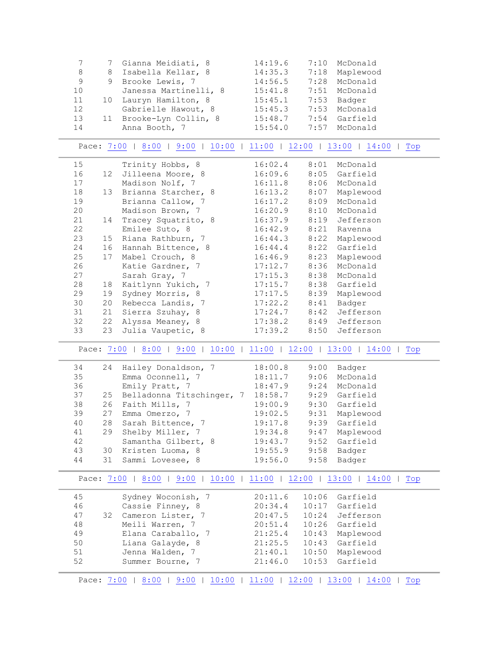|    |                       | 14:19.6                                                                                    | 7:10 | McDonald       |
|----|-----------------------|--------------------------------------------------------------------------------------------|------|----------------|
|    |                       | 14:35.3                                                                                    |      | 7:18 Maplewood |
|    |                       | 14:56.5                                                                                    | 7:28 | McDonald       |
|    | Janessa Martinelli, 8 | 15:41.8                                                                                    |      | 7:51 McDonald  |
|    |                       | 15:45.1                                                                                    |      | 7:53 Badger    |
|    | Gabrielle Hawout, 8   | 15:45.3                                                                                    |      | 7:53 McDonald  |
| 11 | Brooke-Lyn Collin, 8  | 15:48.7                                                                                    |      | 7:54 Garfield  |
|    | Anna Booth, 7         | 15:54.0                                                                                    |      | 7:57 McDonald  |
|    |                       | 7 Gianna Meidiati, 8<br>8 Isabella Kellar, 8<br>9 Brooke Lewis, 7<br>10 Lauryn Hamilton, 8 |      |                |

<span id="page-2-0"></span>Pace:  $7:00$  |  $8:00$  |  $9:00$  |  $10:00$  |  $11:00$  |  $12:00$  |  $13:00$  |  $14:00$  | Top

| 15 |                 | Trinity Hobbs, 8                                                       | 16:02.4 | 8:01 | McDonald       |
|----|-----------------|------------------------------------------------------------------------|---------|------|----------------|
| 16 | 12              | Jilleena Moore, 8                                                      | 16:09.6 | 8:05 | Garfield       |
| 17 |                 | Madison Nolf, 7                                                        | 16:11.8 |      | 8:06 McDonald  |
| 18 | 13              | Brianna Starcher, 8                                                    | 16:13.2 |      | 8:07 Maplewood |
| 19 |                 | Brianna Callow, 7                                                      | 16:17.2 | 8:09 | McDonald       |
| 20 |                 | Madison Brown, 7                                                       | 16:20.9 | 8:10 | McDonald       |
| 21 | 14              | Tracey Squatrito, 8                                                    | 16:37.9 | 8:19 | Jefferson      |
| 22 |                 | Emilee Suto, 8                                                         | 16:42.9 |      | 8:21 Ravenna   |
| 23 | 15 <sub>1</sub> | Riana Rathburn, 7                                                      | 16:44.3 |      | 8:22 Maplewood |
| 24 | 16              | Hannah Bittence, 8                                                     | 16:44.4 | 8:22 | Garfield       |
| 25 | 17              | Mabel Crouch, 8                                                        | 16:46.9 | 8:23 | Maplewood      |
| 26 |                 | Katie Gardner, 7                                                       | 17:12.7 | 8:36 | McDonald       |
| 27 |                 | Sarah Gray, 7                                                          | 17:15.3 |      | 8:38 McDonald  |
| 28 | 18              | Kaitlynn Yukich, 7                                                     | 17:15.7 |      | 8:38 Garfield  |
| 29 | 19              | Sydney Morris, 8                                                       | 17:17.5 |      | 8:39 Maplewood |
| 30 | 20              | Rebecca Landis, 7                                                      | 17:22.2 | 8:41 | Badger         |
| 31 | 21              | Sierra Szuhay, 8                                                       | 17:24.7 | 8:42 | Jefferson      |
| 32 | 22              | Alyssa Meaney, 8                                                       | 17:38.2 |      | 8:49 Jefferson |
| 33 | 23              | Julia Vaupetic, 8                                                      | 17:39.2 | 8:50 | Jefferson      |
|    |                 | Pace: 7:00   8:00   9:00   10:00   11:00   12:00   13:00   14:00   Top |         |      |                |
| 34 | 24              | Hailey Donaldson, 7                                                    | 18:00.8 | 9:00 | Badger         |
| 35 |                 | Emma Oconnell, 7                                                       | 18:11.7 |      | 9:06 McDonald  |
| 36 |                 | Emily Pratt, 7                                                         | 18:47.9 |      | 9:24 McDonald  |
| 37 | 25              | Belladonna Titschinger, 7                                              | 18:58.7 |      | 9:29 Garfield  |
| 38 | 26              | Faith Mills, 7                                                         | 19:00.9 | 9:30 | Garfield       |
| 39 | 27              | Emma Omerzo, 7                                                         | 19:02.5 | 9:31 | Maplewood      |
| 40 | 28              | Sarah Bittence, 7                                                      | 19:17.8 | 9:39 | Garfield       |
| 41 | 29              | Shelby Miller, 7                                                       | 19:34.8 | 9:47 | Maplewood      |
| 42 |                 | Samantha Gilbert, 8                                                    | 19:43.7 | 9:52 | Garfield       |

<span id="page-2-2"></span>

|    | Pace: 7:00 | 8:00<br>10:00<br>9:00 | 11:00   | 12:00 | 13:00<br>14:00<br>Top |
|----|------------|-----------------------|---------|-------|-----------------------|
| 45 |            | Sydney Woconish, 7    | 20:11.6 | 10:06 | Garfield              |
| 46 |            | Cassie Finney, 8      | 20:34.4 | 10:17 | Garfield              |
| 47 | 32         | Cameron Lister, 7     | 20:47.5 | 10:24 | Jefferson             |
| 48 |            | Meili Warren, 7       | 20:51.4 |       | 10:26 Garfield        |
| 49 |            | Elana Caraballo, 7    | 21:25.4 | 10:43 | Maplewood             |
| 50 |            | Liana Galayde, 8      | 21:25.5 | 10:43 | Garfield              |
| 51 |            | Jenna Walden, 7       | 21:40.1 | 10:50 | Maplewood             |
| 52 |            | Summer Bourne, 7      | 21:46.0 | 10:53 | Garfield              |

<span id="page-2-1"></span> 43 30 Kristen Luoma, 8 19:55.9 9:58 Badger 44 31 Sammi Lovesee, 8 19:56.0 9:58 Badger

<span id="page-2-3"></span>Pace: [7:00](#page-1-1) | [8:00](#page-2-0) | [9:00](#page-2-1) | [10:00](#page-2-2) | [11:00](#page-2-3) | 12:00 | [13:00](#page-3-0) | [14:00](#page-3-1) | Top